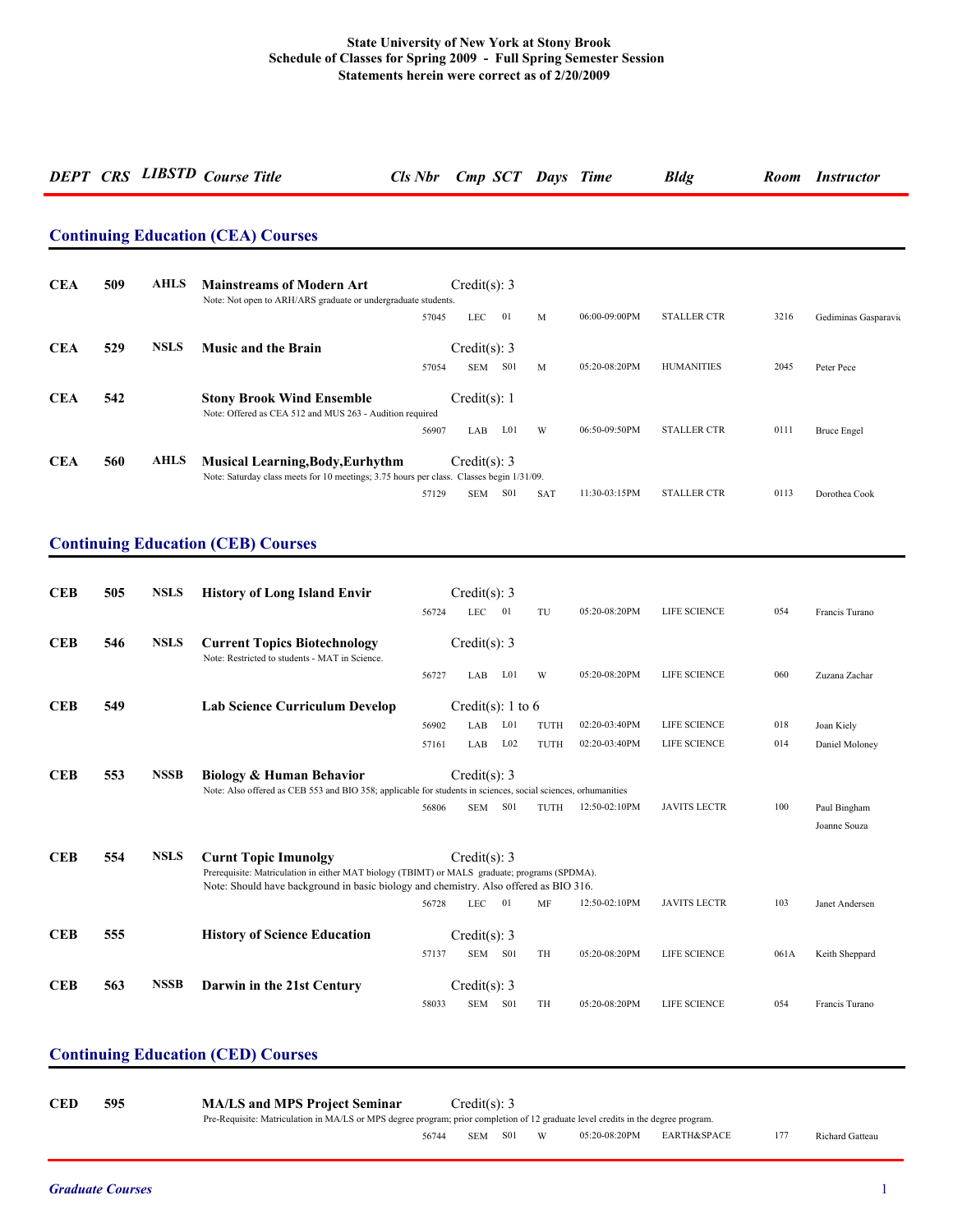# *DEPT CRS LIBSTD Course Title Cls Nbr Cmp SCT Days Time Bldg Room Instructor*

### **Continuing Education (CEA) Courses**

| <b>CEA</b> | 509 | <b>AHLS</b> | <b>Mainstreams of Modern Art</b><br>Note: Not open to ARH/ARS graduate or undergraduate students.                                   |       | Credit(s): 3   |                  |            |               |                    |      |                      |
|------------|-----|-------------|-------------------------------------------------------------------------------------------------------------------------------------|-------|----------------|------------------|------------|---------------|--------------------|------|----------------------|
|            |     |             |                                                                                                                                     | 57045 | <b>LEC</b>     | 01               | M          | 06:00-09:00PM | <b>STALLER CTR</b> | 3216 | Gediminas Gasparavio |
| <b>CEA</b> | 529 | <b>NSLS</b> | <b>Music and the Brain</b>                                                                                                          |       | Credit(s): $3$ |                  |            |               |                    |      |                      |
|            |     |             |                                                                                                                                     | 57054 | <b>SEM</b>     | S <sub>0</sub> 1 | M          | 05:20-08:20PM | <b>HUMANITIES</b>  | 2045 | Peter Pece           |
| <b>CEA</b> | 542 |             | <b>Stony Brook Wind Ensemble</b><br>Note: Offered as CEA 512 and MUS 263 - Audition required                                        |       | Credit(s): $1$ |                  |            |               |                    |      |                      |
|            |     |             |                                                                                                                                     | 56907 | LAB            | L <sub>0</sub> 1 | W          | 06:50-09:50PM | <b>STALLER CTR</b> | 0111 | <b>Bruce Engel</b>   |
| <b>CEA</b> | 560 | <b>AHLS</b> | <b>Musical Learning, Body, Eurhythm</b><br>Note: Saturday class meets for 10 meetings; 3.75 hours per class. Classes begin 1/31/09. |       | Credit(s): 3   |                  |            |               |                    |      |                      |
|            |     |             |                                                                                                                                     | 57129 | <b>SEM</b>     | S <sub>0</sub> 1 | <b>SAT</b> | 11:30-03:15PM | <b>STALLER CTR</b> | 0113 | Dorothea Cook        |

### **Continuing Education (CEB) Courses**

| <b>CEB</b> | 505 | <b>NSLS</b> | <b>History of Long Island Envir</b>                                                                                                                  |       | Credit(s): 3      |                 |           |               |                     |      |                              |
|------------|-----|-------------|------------------------------------------------------------------------------------------------------------------------------------------------------|-------|-------------------|-----------------|-----------|---------------|---------------------|------|------------------------------|
|            |     |             |                                                                                                                                                      | 56724 | <b>LEC</b>        | 01              | TU        | 05:20-08:20PM | LIFE SCIENCE        | 054  | Francis Turano               |
| <b>CEB</b> | 546 | <b>NSLS</b> | <b>Current Topics Biotechnology</b><br>Note: Restricted to students - MAT in Science.                                                                |       | Credit(s): 3      |                 |           |               |                     |      |                              |
|            |     |             |                                                                                                                                                      | 56727 | LAB               | L01             | W         | 05:20-08:20PM | LIFE SCIENCE        | 060  | Zuzana Zachar                |
| <b>CEB</b> | 549 |             | <b>Lab Science Curriculum Develop</b>                                                                                                                |       | Credit(s): 1 to 6 |                 |           |               |                     |      |                              |
|            |     |             |                                                                                                                                                      | 56902 | LAB               | L <sub>01</sub> | TUTH      | 02:20-03:40PM | LIFE SCIENCE        | 018  | Joan Kiely                   |
|            |     |             |                                                                                                                                                      | 57161 | LAB               | $L_{02}$        | TUTH      | 02:20-03:40PM | LIFE SCIENCE        | 014  | Daniel Moloney               |
| <b>CEB</b> | 553 | <b>NSSB</b> | <b>Biology &amp; Human Behavior</b><br>Note: Also offered as CEB 553 and BIO 358; applicable for students in sciences, social sciences, orhumanities |       | Credit(s): $3$    |                 |           |               |                     |      |                              |
|            |     |             |                                                                                                                                                      | 56806 | <b>SEM</b>        | <b>S01</b>      | TUTH      | 12:50-02:10PM | <b>JAVITS LECTR</b> | 100  | Paul Bingham<br>Joanne Souza |
| <b>CEB</b> | 554 | <b>NSLS</b> | <b>Curnt Topic Imunolgy</b><br>Prerequisite: Matriculation in either MAT biology (TBIMT) or MALS graduate; programs (SPDMA).                         |       | Credit(s): $3$    |                 |           |               |                     |      |                              |
|            |     |             | Note: Should have background in basic biology and chemistry. Also offered as BIO 316.                                                                |       |                   |                 |           |               |                     |      |                              |
|            |     |             |                                                                                                                                                      | 56728 | <b>LEC</b>        | 01              | MF        | 12:50-02:10PM | <b>JAVITS LECTR</b> | 103  | Janet Andersen               |
| <b>CEB</b> | 555 |             | <b>History of Science Education</b>                                                                                                                  |       | Credit(s): 3      |                 |           |               |                     |      |                              |
|            |     |             |                                                                                                                                                      | 57137 | <b>SEM</b>        | <b>S01</b>      | <b>TH</b> | 05:20-08:20PM | <b>LIFE SCIENCE</b> | 061A | Keith Sheppard               |
| <b>CEB</b> | 563 | <b>NSSB</b> | Darwin in the 21st Century                                                                                                                           |       | Credit(s): 3      |                 |           |               |                     |      |                              |
|            |     |             |                                                                                                                                                      | 58033 | <b>SEM</b>        | <b>S01</b>      | <b>TH</b> | 05:20-08:20PM | LIFE SCIENCE        | 054  | Francis Turano               |

### **Continuing Education (CED) Courses**

| <b>CED</b> | 595 | <b>MA/LS and MPS Project Seminar</b>                                                                                              |            | Credit(s): 3 |   |               |                        |     |                 |
|------------|-----|-----------------------------------------------------------------------------------------------------------------------------------|------------|--------------|---|---------------|------------------------|-----|-----------------|
|            |     | Pre-Requisite: Matriculation in MA/LS or MPS degree program; prior completion of 12 graduate level credits in the degree program. |            |              |   |               |                        |     |                 |
|            |     | 56744                                                                                                                             | <b>SEM</b> | S01          | W | 05:20-08:20PM | <b>EARTH&amp;SPACE</b> | 177 | Richard Gatteau |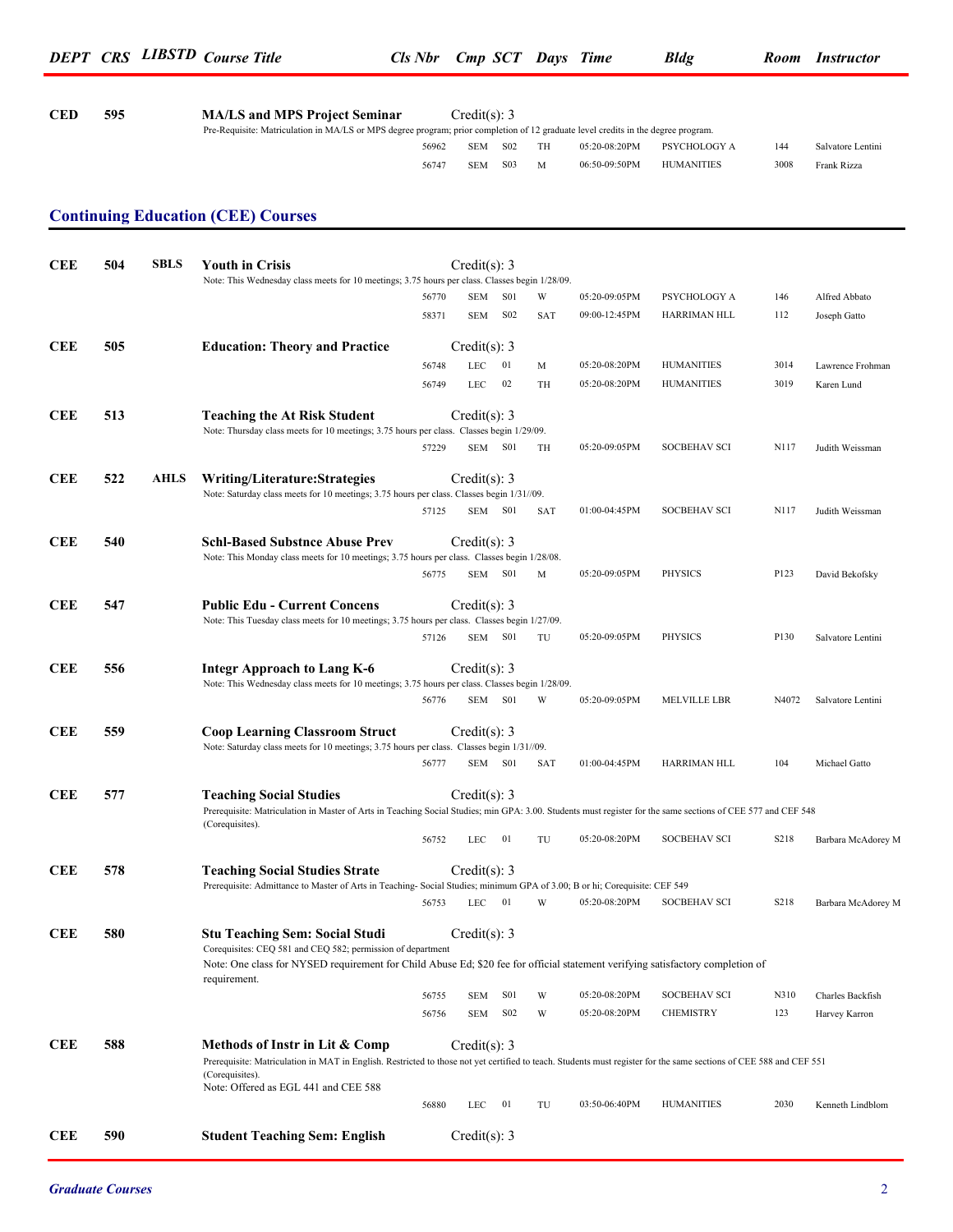**CED 595 MA/LS and MPS Project Seminar** Credit(s): 3

Pre-Requisite: Matriculation in MA/LS or MPS degree program; prior completion of 12 graduate level credits in the degree program.

|            |     |             |                                                                                                                                                                                               | 56962 | <b>SEM</b>     | S <sub>02</sub>  | TH         | 05:20-08:20PM | PSYCHOLOGY A        | 144   | Salvatore Lentini  |
|------------|-----|-------------|-----------------------------------------------------------------------------------------------------------------------------------------------------------------------------------------------|-------|----------------|------------------|------------|---------------|---------------------|-------|--------------------|
|            |     |             |                                                                                                                                                                                               | 56747 | <b>SEM</b>     | S <sub>03</sub>  | M          | 06:50-09:50PM | <b>HUMANITIES</b>   | 3008  | Frank Rizza        |
|            |     |             |                                                                                                                                                                                               |       |                |                  |            |               |                     |       |                    |
|            |     |             | <b>Continuing Education (CEE) Courses</b>                                                                                                                                                     |       |                |                  |            |               |                     |       |                    |
|            |     |             |                                                                                                                                                                                               |       |                |                  |            |               |                     |       |                    |
| <b>CEE</b> | 504 | <b>SBLS</b> | <b>Youth in Crisis</b>                                                                                                                                                                        |       | Credit(s): 3   |                  |            |               |                     |       |                    |
|            |     |             | Note: This Wednesday class meets for 10 meetings; 3.75 hours per class. Classes begin 1/28/09.                                                                                                | 56770 | SEM            | S <sub>0</sub> 1 | W          | 05:20-09:05PM | PSYCHOLOGY A        | 146   | Alfred Abbato      |
|            |     |             |                                                                                                                                                                                               | 58371 | SEM            | S <sub>02</sub>  | <b>SAT</b> | 09:00-12:45PM | HARRIMAN HLL        | 112   | Joseph Gatto       |
|            |     |             |                                                                                                                                                                                               |       |                |                  |            |               |                     |       |                    |
| <b>CEE</b> | 505 |             | <b>Education: Theory and Practice</b>                                                                                                                                                         |       | Credit(s): 3   |                  |            |               |                     |       |                    |
|            |     |             |                                                                                                                                                                                               | 56748 | <b>LEC</b>     | 01               | M          | 05:20-08:20PM | <b>HUMANITIES</b>   | 3014  | Lawrence Frohman   |
|            |     |             |                                                                                                                                                                                               | 56749 | LEC            | 02               | TH         | 05:20-08:20PM | <b>HUMANITIES</b>   | 3019  | Karen Lund         |
| <b>CEE</b> | 513 |             | <b>Teaching the At Risk Student</b>                                                                                                                                                           |       | Credit(s): 3   |                  |            |               |                     |       |                    |
|            |     |             | Note: Thursday class meets for 10 meetings; 3.75 hours per class. Classes begin 1/29/09.                                                                                                      |       |                |                  |            |               |                     |       |                    |
|            |     |             |                                                                                                                                                                                               | 57229 |                | SEM S01          | TH         | 05:20-09:05PM | <b>SOCBEHAV SCI</b> | N117  | Judith Weissman    |
| <b>CEE</b> | 522 | AHLS        | Writing/Literature:Strategies                                                                                                                                                                 |       | Credit(s): 3   |                  |            |               |                     |       |                    |
|            |     |             | Note: Saturday class meets for 10 meetings; 3.75 hours per class. Classes begin 1/31//09.                                                                                                     |       |                |                  |            |               |                     |       |                    |
|            |     |             |                                                                                                                                                                                               | 57125 |                | SEM S01          | <b>SAT</b> | 01:00-04:45PM | <b>SOCBEHAV SCI</b> | N117  | Judith Weissman    |
| <b>CEE</b> | 540 |             | Schl-Based Substnce Abuse Prev                                                                                                                                                                |       | Credit(s): 3   |                  |            |               |                     |       |                    |
|            |     |             | Note: This Monday class meets for 10 meetings; 3.75 hours per class. Classes begin 1/28/08.                                                                                                   |       |                |                  |            |               |                     |       |                    |
|            |     |             |                                                                                                                                                                                               | 56775 |                | SEM S01          | M          | 05:20-09:05PM | <b>PHYSICS</b>      | P123  | David Bekofsky     |
| <b>CEE</b> | 547 |             | <b>Public Edu - Current Concens</b>                                                                                                                                                           |       | Credit(s): 3   |                  |            |               |                     |       |                    |
|            |     |             | Note: This Tuesday class meets for 10 meetings; 3.75 hours per class. Classes begin 1/27/09.                                                                                                  |       |                |                  |            |               |                     |       |                    |
|            |     |             |                                                                                                                                                                                               | 57126 | SEM            | S01              | TU         | 05:20-09:05PM | <b>PHYSICS</b>      | P130  | Salvatore Lentini  |
| <b>CEE</b> | 556 |             | <b>Integr Approach to Lang K-6</b>                                                                                                                                                            |       | Credit(s): 3   |                  |            |               |                     |       |                    |
|            |     |             | Note: This Wednesday class meets for 10 meetings; 3.75 hours per class. Classes begin 1/28/09.                                                                                                |       |                |                  |            |               |                     |       |                    |
|            |     |             |                                                                                                                                                                                               | 56776 |                | SEM S01          | W          | 05:20-09:05PM | MELVILLE LBR        | N4072 | Salvatore Lentini  |
| <b>CEE</b> | 559 |             | <b>Coop Learning Classroom Struct</b>                                                                                                                                                         |       | Credit(s): 3   |                  |            |               |                     |       |                    |
|            |     |             | Note: Saturday class meets for 10 meetings; 3.75 hours per class. Classes begin 1/31//09.                                                                                                     |       |                |                  |            |               |                     |       |                    |
|            |     |             |                                                                                                                                                                                               | 56777 |                | SEM S01          | <b>SAT</b> | 01:00-04:45PM | HARRIMAN HLL        | 104   | Michael Gatto      |
| <b>CEE</b> | 577 |             | <b>Teaching Social Studies</b>                                                                                                                                                                |       | Credit(s): $3$ |                  |            |               |                     |       |                    |
|            |     |             | Prerequisite: Matriculation in Master of Arts in Teaching Social Studies; min GPA: 3.00. Students must register for the same sections of CEE 577 and CEF 548                                  |       |                |                  |            |               |                     |       |                    |
|            |     |             | (Corequisites).                                                                                                                                                                               |       |                | $_{01}$          | TU         | 05:20-08:20PM | SOCBEHAV SCI        | S218  |                    |
|            |     |             |                                                                                                                                                                                               | 56752 | LEC            |                  |            |               |                     |       | Barbara McAdorey M |
| <b>CEE</b> | 578 |             | <b>Teaching Social Studies Strate</b>                                                                                                                                                         |       | Credit(s): 3   |                  |            |               |                     |       |                    |
|            |     |             | Prerequisite: Admittance to Master of Arts in Teaching-Social Studies; minimum GPA of 3.00; B or hi; Corequisite: CEF 549                                                                     | 56753 | LEC            | - 01             | W          | 05:20-08:20PM | <b>SOCBEHAV SCI</b> | S218  |                    |
|            |     |             |                                                                                                                                                                                               |       |                |                  |            |               |                     |       | Barbara McAdorey M |
| <b>CEE</b> | 580 |             | <b>Stu Teaching Sem: Social Studi</b>                                                                                                                                                         |       | Credit(s): 3   |                  |            |               |                     |       |                    |
|            |     |             | Corequisites: CEQ 581 and CEQ 582; permission of department<br>Note: One class for NYSED requirement for Child Abuse Ed; \$20 fee for official statement verifying satisfactory completion of |       |                |                  |            |               |                     |       |                    |
|            |     |             | requirement.                                                                                                                                                                                  |       |                |                  |            |               |                     |       |                    |
|            |     |             |                                                                                                                                                                                               | 56755 | <b>SEM</b>     | S <sub>0</sub> 1 | W          | 05:20-08:20PM | <b>SOCBEHAV SCI</b> | N310  | Charles Backfish   |
|            |     |             |                                                                                                                                                                                               | 56756 | SEM            | S <sub>02</sub>  | W          | 05:20-08:20PM | <b>CHEMISTRY</b>    | 123   | Harvey Karron      |
| <b>CEE</b> | 588 |             | Methods of Instr in Lit & Comp                                                                                                                                                                |       | Credit(s): 3   |                  |            |               |                     |       |                    |
|            |     |             | Prerequisite: Matriculation in MAT in English. Restricted to those not yet certified to teach. Students must register for the same sections of CEE 588 and CEF 551                            |       |                |                  |            |               |                     |       |                    |
|            |     |             | (Corequisites).<br>Note: Offered as EGL 441 and CEE 588                                                                                                                                       |       |                |                  |            |               |                     |       |                    |
|            |     |             |                                                                                                                                                                                               | 56880 | LEC            | - 01             | TU         | 03:50-06:40PM | <b>HUMANITIES</b>   | 2030  | Kenneth Lindblom   |
|            |     |             |                                                                                                                                                                                               |       |                |                  |            |               |                     |       |                    |
| <b>CEE</b> | 590 |             | <b>Student Teaching Sem: English</b>                                                                                                                                                          |       | Credit(s): 3   |                  |            |               |                     |       |                    |
|            |     |             |                                                                                                                                                                                               |       |                |                  |            |               |                     |       |                    |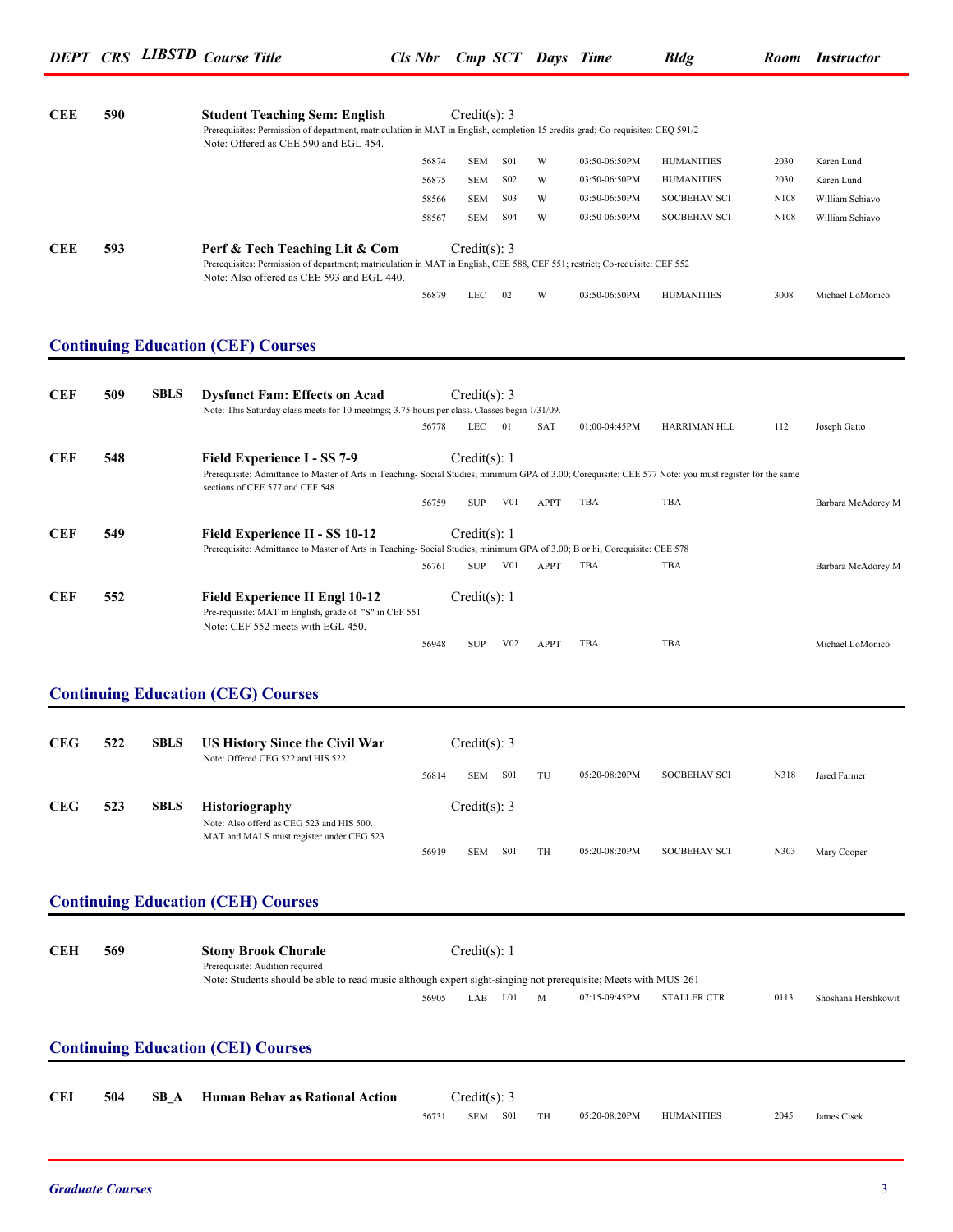| <b>CEE</b> | 590 |             | <b>Student Teaching Sem: English</b><br>Prerequisites: Permission of department, matriculation in MAT in English, completion 15 credits grad; Co-requisites: CEQ 591/2<br>Note: Offered as CEE 590 and EGL 454.         |       | Credit(s): 3     |                  |             |               |                     |      |                     |
|------------|-----|-------------|-------------------------------------------------------------------------------------------------------------------------------------------------------------------------------------------------------------------------|-------|------------------|------------------|-------------|---------------|---------------------|------|---------------------|
|            |     |             |                                                                                                                                                                                                                         | 56874 | <b>SEM</b>       | S01              | W           | 03:50-06:50PM | <b>HUMANITIES</b>   | 2030 | Karen Lund          |
|            |     |             |                                                                                                                                                                                                                         | 56875 | <b>SEM</b>       | S <sub>0</sub> 2 | W           | 03:50-06:50PM | <b>HUMANITIES</b>   | 2030 | Karen Lund          |
|            |     |             |                                                                                                                                                                                                                         | 58566 | <b>SEM</b>       | S <sub>03</sub>  | W           | 03:50-06:50PM | <b>SOCBEHAV SCI</b> | N108 | William Schiavo     |
|            |     |             |                                                                                                                                                                                                                         | 58567 | <b>SEM</b>       | <b>S04</b>       | W           | 03:50-06:50PM | <b>SOCBEHAV SCI</b> | N108 | William Schiavo     |
| <b>CEE</b> | 593 |             | Perf & Tech Teaching Lit & Com<br>Prerequisites: Permission of department; matriculation in MAT in English, CEE 588, CEF 551; restrict; Co-requisite: CEF 552<br>Note: Also offered as CEE 593 and EGL 440.             |       | Credit(s): 3     |                  |             |               |                     |      |                     |
|            |     |             |                                                                                                                                                                                                                         | 56879 | LEC              | 02               | W           | 03:50-06:50PM | <b>HUMANITIES</b>   | 3008 | Michael LoMonico    |
|            |     |             |                                                                                                                                                                                                                         |       |                  |                  |             |               |                     |      |                     |
|            |     |             | <b>Continuing Education (CEF) Courses</b>                                                                                                                                                                               |       |                  |                  |             |               |                     |      |                     |
| <b>CEF</b> | 509 | <b>SBLS</b> | <b>Dysfunct Fam: Effects on Acad</b><br>Note: This Saturday class meets for 10 meetings; 3.75 hours per class. Classes begin 1/31/09.                                                                                   |       | Credit(s): 3     |                  |             |               |                     |      |                     |
|            |     |             |                                                                                                                                                                                                                         | 56778 | LEC              | 01               | SAT         | 01:00-04:45PM | HARRIMAN HLL        | 112  | Joseph Gatto        |
| <b>CEF</b> | 548 |             | Field Experience I - SS 7-9<br>Prerequisite: Admittance to Master of Arts in Teaching-Social Studies; minimum GPA of 3.00; Corequisite: CEE 577 Note: you must register for the same<br>sections of CEE 577 and CEF 548 |       | Credit(s): 1     |                  |             |               |                     |      |                     |
|            |     |             |                                                                                                                                                                                                                         | 56759 | <b>SUP</b>       | V <sub>0</sub> 1 | <b>APPT</b> | TBA           | TBA                 |      | Barbara McAdorey M  |
| <b>CEF</b> | 549 |             | Field Experience II - SS 10-12<br>Prerequisite: Admittance to Master of Arts in Teaching-Social Studies; minimum GPA of 3.00; B or hi; Corequisite: CEE 578                                                             |       | Credit(s): 1     |                  |             |               |                     |      |                     |
|            |     |             |                                                                                                                                                                                                                         | 56761 | <b>SUP</b>       | V <sub>0</sub> 1 | <b>APPT</b> | TBA           | TBA                 |      | Barbara McAdorey M  |
| <b>CEF</b> | 552 |             | Field Experience II Engl 10-12<br>Pre-requisite: MAT in English, grade of "S" in CEF 551<br>Note: CEF 552 meets with EGL 450.                                                                                           |       | Credit(s): 1     |                  |             |               |                     |      |                     |
|            |     |             |                                                                                                                                                                                                                         | 56948 | <b>SUP</b>       | V <sub>02</sub>  | <b>APPT</b> | TBA           | TBA                 |      | Michael LoMonico    |
|            |     |             | <b>Continuing Education (CEG) Courses</b>                                                                                                                                                                               |       |                  |                  |             |               |                     |      |                     |
| <b>CEG</b> | 522 | <b>SBLS</b> | <b>US History Since the Civil War</b><br>Note: Offered CEG 522 and HIS 522                                                                                                                                              |       | Credit(s): 3     |                  |             |               |                     |      |                     |
|            |     |             |                                                                                                                                                                                                                         | 56814 | SEM              | S01              | TU          | 05:20-08:20PM | <b>SOCBEHAV SCI</b> | N318 | Jared Farmer        |
| <b>CEG</b> | 523 | <b>SBLS</b> | Historiography<br>Note: Also offerd as CEG 523 and HIS 500.<br>MAT and MALS must register under CEG 523.                                                                                                                |       | Credit(s): 3     |                  |             |               |                     |      |                     |
|            |     |             |                                                                                                                                                                                                                         | 56919 |                  | SEM S01          | TH          | 05:20-08:20PM | <b>SOCBEHAV SCI</b> | N303 | Mary Cooper         |
|            |     |             | <b>Continuing Education (CEH) Courses</b>                                                                                                                                                                               |       |                  |                  |             |               |                     |      |                     |
|            |     |             |                                                                                                                                                                                                                         |       |                  |                  |             |               |                     |      |                     |
| <b>CEH</b> | 569 |             | <b>Stony Brook Chorale</b><br>Prerequisite: Audition required<br>Note: Students should be able to read music although expert sight-singing not prerequisite; Meets with MUS 261                                         |       | Credit $(s)$ : 1 |                  |             |               |                     |      |                     |
|            |     |             |                                                                                                                                                                                                                         | 56905 |                  | LAB L01          | M           | 07:15-09:45PM | <b>STALLER CTR</b>  | 0113 | Shoshana Hershkowit |
|            |     |             | <b>Continuing Education (CEI) Courses</b>                                                                                                                                                                               |       |                  |                  |             |               |                     |      |                     |
|            |     |             |                                                                                                                                                                                                                         |       |                  |                  |             |               |                     |      |                     |
| <b>CEI</b> | 504 | SB_A        | Human Behav as Rational Action                                                                                                                                                                                          |       | Credit(s): $3$   |                  |             |               |                     |      |                     |
|            |     |             |                                                                                                                                                                                                                         | 56731 |                  | SEM S01          | TH          | 05:20-08:20PM | <b>HUMANITIES</b>   | 2045 | James Cisek         |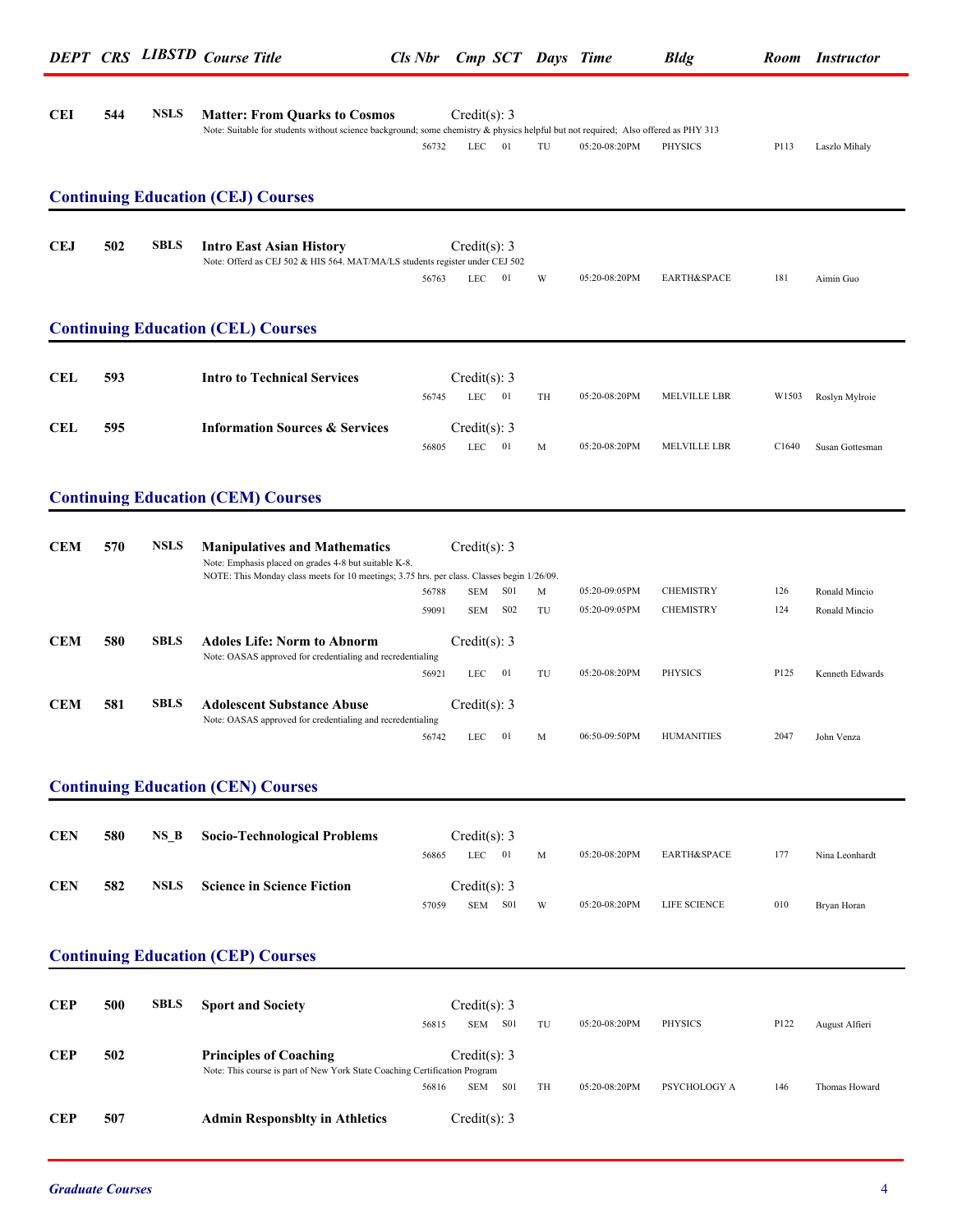|            |     |             | <b>DEPT CRS LIBSTD Course Title</b>                                                                                                                                        |                | Cls Nbr Cmp SCT Days Time              |         |                                | <b>Bldg</b>                          |                   | Room Instructor                |
|------------|-----|-------------|----------------------------------------------------------------------------------------------------------------------------------------------------------------------------|----------------|----------------------------------------|---------|--------------------------------|--------------------------------------|-------------------|--------------------------------|
| <b>CEI</b> | 544 | <b>NSLS</b> | <b>Matter: From Quarks to Cosmos</b><br>Note: Suitable for students without science background; some chemistry & physics helpful but not required; Also offered as PHY 313 | 56732          | Credit(s): 3<br>LEC<br>- 01            | TU      | 05:20-08:20PM                  | PHYSICS                              | P113              | Laszlo Mihaly                  |
|            |     |             | <b>Continuing Education (CEJ) Courses</b>                                                                                                                                  |                |                                        |         |                                |                                      |                   |                                |
| <b>CEJ</b> | 502 | <b>SBLS</b> | <b>Intro East Asian History</b><br>Note: Offerd as CEJ 502 & HIS 564. MAT/MA/LS students register under CEJ 502                                                            | 56763          | Credit(s): 3<br>LEC<br>- 01            | W       | 05:20-08:20PM                  | EARTH&SPACE                          | 181               | Aimin Guo                      |
|            |     |             | <b>Continuing Education (CEL) Courses</b>                                                                                                                                  |                |                                        |         |                                |                                      |                   |                                |
| CEL        | 593 |             | <b>Intro to Technical Services</b>                                                                                                                                         | 56745          | Credit(s): 3<br>$LEC$ 01               | TH      | 05:20-08:20PM                  | MELVILLE LBR                         |                   | W1503 Roslyn Mylroie           |
| <b>CEL</b> | 595 |             | <b>Information Sources &amp; Services</b>                                                                                                                                  | 56805          | Credit(s): $3$<br><b>LEC</b><br>01     | M       | 05:20-08:20PM                  | MELVILLE LBR                         | C <sub>1640</sub> | Susan Gottesman                |
|            |     |             | <b>Continuing Education (CEM) Courses</b>                                                                                                                                  |                |                                        |         |                                |                                      |                   |                                |
| <b>CEM</b> | 570 | <b>NSLS</b> | <b>Manipulatives and Mathematics</b><br>Note: Emphasis placed on grades 4-8 but suitable K-8.                                                                              |                | Credit(s): $3$                         |         |                                |                                      |                   |                                |
|            |     |             | NOTE: This Monday class meets for 10 meetings; 3.75 hrs. per class. Classes begin 1/26/09.                                                                                 | 56788<br>59091 | S01<br><b>SEM</b><br>S02<br><b>SEM</b> | M<br>TU | 05:20-09:05PM<br>05:20-09:05PM | <b>CHEMISTRY</b><br><b>CHEMISTRY</b> | 126<br>124        | Ronald Mincio<br>Ronald Mincio |
| <b>CEM</b> | 580 | <b>SBLS</b> | <b>Adoles Life: Norm to Abnorm</b><br>Note: OASAS approved for credentialing and recredentialing                                                                           | 56921          | Credit(s): 3<br>LEC<br>01              | TU      | 05:20-08:20PM                  | PHYSICS                              | P125              | Kenneth Edwards                |
| <b>CEM</b> | 581 | <b>SBLS</b> | <b>Adolescent Substance Abuse</b><br>Note: OASAS approved for credentialing and recredentialing                                                                            | 56742          | Credit(s): $3$<br>01<br>LEC            | M       | 06:50-09:50PM                  | <b>HUMANITIES</b>                    | 2047              | John Venza                     |
|            |     |             | <b>Continuing Education (CEN) Courses</b>                                                                                                                                  |                |                                        |         |                                |                                      |                   |                                |
| <b>CEN</b> | 580 | $NS_B$      | <b>Socio-Technological Problems</b>                                                                                                                                        | 56865          | Credit(s): $3$<br>$LEC$ 01             | M       | 05:20-08:20PM                  | EARTH&SPACE                          | 177               | Nina Leonhardt                 |
| <b>CEN</b> | 582 | <b>NSLS</b> | <b>Science in Science Fiction</b>                                                                                                                                          | 57059          | Credit(s): $3$<br>SEM S01              | W       | 05:20-08:20PM                  | LIFE SCIENCE                         | 010               | Bryan Horan                    |
|            |     |             | <b>Continuing Education (CEP) Courses</b>                                                                                                                                  |                |                                        |         |                                |                                      |                   |                                |
| <b>CEP</b> | 500 | <b>SBLS</b> | <b>Sport and Society</b>                                                                                                                                                   | 56815          | Credit(s): $3$<br>SEM S01              | TU      | 05:20-08:20PM                  | PHYSICS                              | P122              | August Alfieri                 |
| <b>CEP</b> | 502 |             | <b>Principles of Coaching</b><br>Note: This course is part of New York State Coaching Certification Program                                                                | 56816          | Credit(s): $3$<br>SEM S01              | TH      | 05:20-08:20PM                  | PSYCHOLOGY A                         | 146               | Thomas Howard                  |
|            |     |             |                                                                                                                                                                            |                |                                        |         |                                |                                      |                   |                                |

**CEP 507 Admin Responsblty in Athletics** Credit(s): 3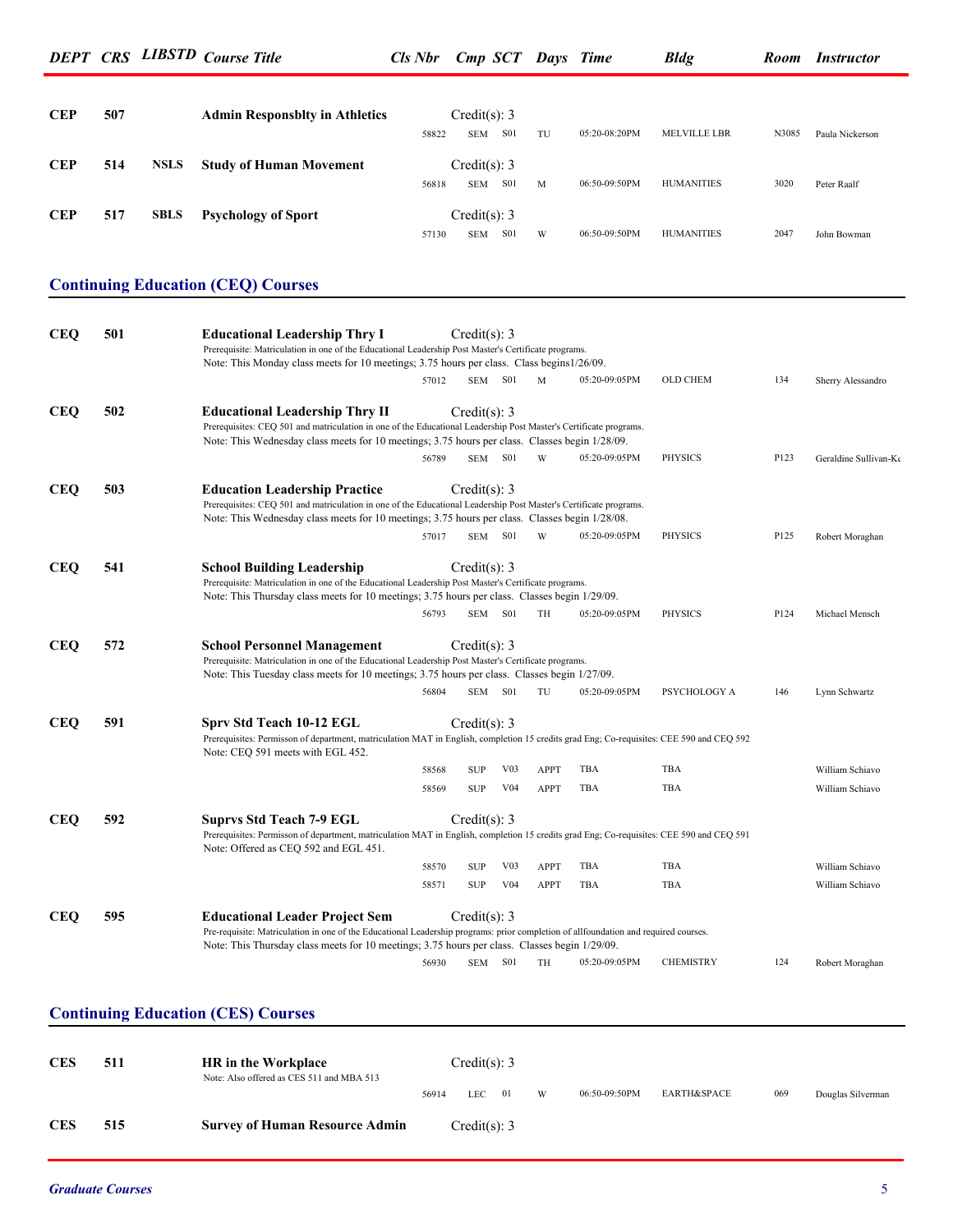| <b>CEP</b> | 507 |             | <b>Admin Responsblty in Athletics</b> | 58822 | Credit(s): 3<br><b>SEM</b> | <b>S01</b> | TU | 05:20-08:20PM | <b>MELVILLE LBR</b> | N3085 | Paula Nickerson |
|------------|-----|-------------|---------------------------------------|-------|----------------------------|------------|----|---------------|---------------------|-------|-----------------|
| <b>CEP</b> | 514 | <b>NSLS</b> | <b>Study of Human Movement</b>        | 56818 | Credit(s): 3<br><b>SEM</b> | <b>S01</b> | M  | 06:50-09:50PM | <b>HUMANITIES</b>   | 3020  | Peter Raalf     |
| <b>CEP</b> | 517 | <b>SBLS</b> | <b>Psychology of Sport</b>            | 57130 | Credit(s): 3<br><b>SEM</b> | <b>S01</b> | W  | 06:50-09:50PM | <b>HUMANITIES</b>   | 2047  | John Bowman     |

### **Continuing Education (CEQ) Courses**

| <b>CEQ</b> | 501 | <b>Educational Leadership Thry I</b><br>Prerequisite: Matriculation in one of the Educational Leadership Post Master's Certificate programs.                                                                                                                                  |       | Credit(s): 3 |                 |             |               |                  |      |                       |
|------------|-----|-------------------------------------------------------------------------------------------------------------------------------------------------------------------------------------------------------------------------------------------------------------------------------|-------|--------------|-----------------|-------------|---------------|------------------|------|-----------------------|
|            |     | Note: This Monday class meets for 10 meetings; 3.75 hours per class. Class begins 1/26/09.                                                                                                                                                                                    |       |              |                 |             |               |                  |      |                       |
|            |     |                                                                                                                                                                                                                                                                               | 57012 | SEM S01      |                 | M           | 05:20-09:05PM | <b>OLD CHEM</b>  | 134  | Sherry Alessandro     |
| <b>CEQ</b> | 502 | <b>Educational Leadership Thry II</b><br>Prerequisites: CEQ 501 and matriculation in one of the Educational Leadership Post Master's Certificate programs.<br>Note: This Wednesday class meets for 10 meetings; 3.75 hours per class. Classes begin 1/28/09.                  |       | Credit(s): 3 |                 |             |               |                  |      |                       |
|            |     |                                                                                                                                                                                                                                                                               | 56789 | SEM          | <b>S01</b>      | W           | 05:20-09:05PM | <b>PHYSICS</b>   | P123 | Geraldine Sullivan-Ko |
| <b>CEQ</b> | 503 | <b>Education Leadership Practice</b><br>Prerequisites: CEQ 501 and matriculation in one of the Educational Leadership Post Master's Certificate programs.<br>Note: This Wednesday class meets for 10 meetings; 3.75 hours per class. Classes begin 1/28/08.                   |       | Credit(s): 3 |                 |             |               |                  |      |                       |
|            |     |                                                                                                                                                                                                                                                                               | 57017 | SEM S01      |                 | W           | 05:20-09:05PM | <b>PHYSICS</b>   | P125 | Robert Moraghan       |
| <b>CEQ</b> | 541 | <b>School Building Leadership</b><br>Prerequisite: Matriculation in one of the Educational Leadership Post Master's Certificate programs.<br>Note: This Thursday class meets for 10 meetings; 3.75 hours per class. Classes begin 1/29/09.                                    |       | Credit(s): 3 |                 |             |               |                  |      |                       |
|            |     |                                                                                                                                                                                                                                                                               | 56793 | SEM S01      |                 | <b>TH</b>   | 05:20-09:05PM | <b>PHYSICS</b>   | P124 | Michael Mensch        |
| <b>CEQ</b> | 572 | <b>School Personnel Management</b><br>Prerequisite: Matriculation in one of the Educational Leadership Post Master's Certificate programs.<br>Note: This Tuesday class meets for 10 meetings; 3.75 hours per class. Classes begin 1/27/09.                                    |       | Credit(s): 3 |                 |             |               |                  |      |                       |
|            |     |                                                                                                                                                                                                                                                                               | 56804 | SEM S01      |                 | TU          | 05:20-09:05PM | PSYCHOLOGY A     | 146  | Lynn Schwartz         |
| <b>CEQ</b> | 591 | Sprv Std Teach 10-12 EGL<br>Prerequisites: Permisson of department, matriculation MAT in English, completion 15 credits grad Eng; Co-requisites: CEE 590 and CEQ 592<br>Note: CEQ 591 meets with EGL 452.                                                                     |       | Credit(s): 3 |                 |             |               |                  |      |                       |
|            |     |                                                                                                                                                                                                                                                                               | 58568 | <b>SUP</b>   | V <sub>03</sub> | APPT        | TBA           | TBA              |      | William Schiavo       |
|            |     |                                                                                                                                                                                                                                                                               | 58569 | <b>SUP</b>   | V <sub>04</sub> | <b>APPT</b> | TBA           | TBA              |      | William Schiavo       |
| <b>CEQ</b> | 592 | <b>Suprvs Std Teach 7-9 EGL</b><br>Prerequisites: Permisson of department, matriculation MAT in English, completion 15 credits grad Eng; Co-requisites: CEE 590 and CEQ 591<br>Note: Offered as CEQ 592 and EGL 451.                                                          |       | Credit(s): 3 |                 |             |               |                  |      |                       |
|            |     |                                                                                                                                                                                                                                                                               | 58570 | <b>SUP</b>   | V <sub>03</sub> | APPT        | TBA           | TBA              |      | William Schiavo       |
|            |     |                                                                                                                                                                                                                                                                               | 58571 | <b>SUP</b>   | V <sub>04</sub> | <b>APPT</b> | <b>TBA</b>    | TBA              |      | William Schiavo       |
| <b>CEQ</b> | 595 | <b>Educational Leader Project Sem</b><br>Pre-requisite: Matriculation in one of the Educational Leadership programs: prior completion of allfoundation and required courses.<br>Note: This Thursday class meets for 10 meetings; 3.75 hours per class. Classes begin 1/29/09. |       | Credit(s): 3 |                 |             |               |                  |      |                       |
|            |     |                                                                                                                                                                                                                                                                               | 56930 | <b>SEM</b>   | <b>S01</b>      | TH          | 05:20-09:05PM | <b>CHEMISTRY</b> | 124  | Robert Moraghan       |
|            |     |                                                                                                                                                                                                                                                                               |       |              |                 |             |               |                  |      |                       |

### **Continuing Education (CES) Courses**

| <b>CES</b> | 511 | <b>HR</b> in the Workplace<br>Note: Also offered as CES 511 and MBA 513 | Credit(s): 3 |              |  |   |               |             |     |                   |
|------------|-----|-------------------------------------------------------------------------|--------------|--------------|--|---|---------------|-------------|-----|-------------------|
|            |     |                                                                         | 56914        | $LEC = 01$   |  | W | 06:50-09:50PM | EARTH&SPACE | 069 | Douglas Silverman |
| <b>CES</b> | 515 | <b>Survey of Human Resource Admin</b>                                   |              | Credit(s): 3 |  |   |               |             |     |                   |